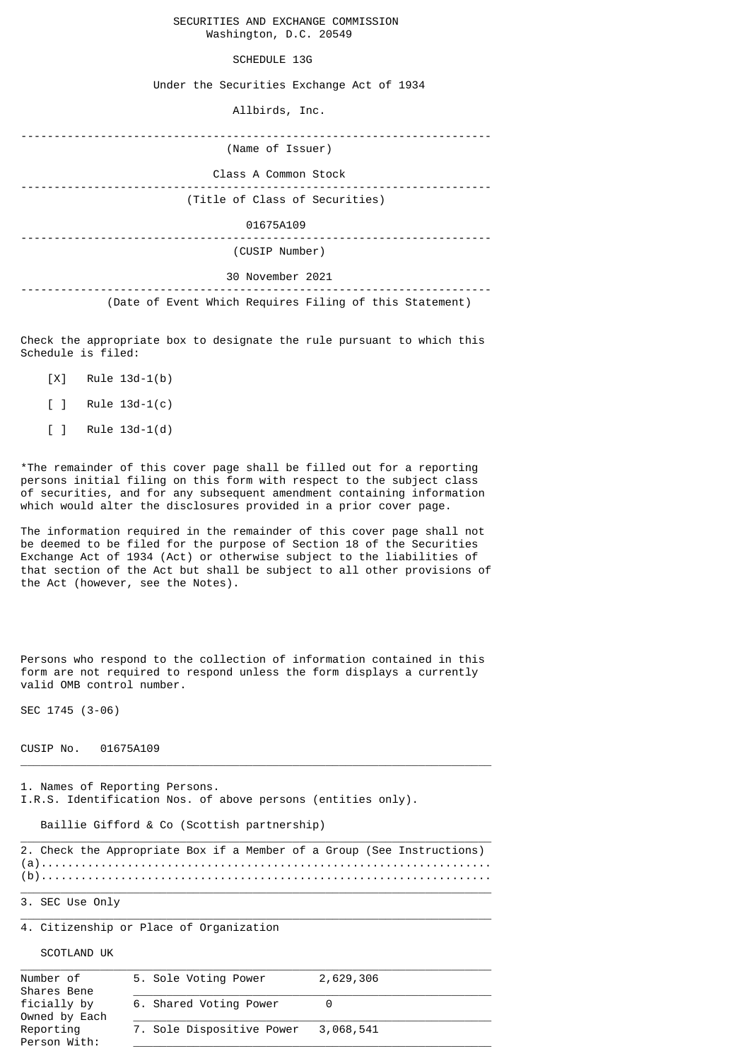## SECURITIES AND EXCHANGE COMMISSION Washington, D.C. 20549

## SCHEDULE 13G

Under the Securities Exchange Act of 1934

Allbirds, Inc.

| (Name of Issuer)                                        |
|---------------------------------------------------------|
| Class A Common Stock                                    |
| (Title of Class of Securities)                          |
| 01675A109                                               |
| (CUSIP Number)                                          |
| 30 November 2021                                        |
| (Date of Event Which Requires Filing of this Statement) |

Check the appropriate box to designate the rule pursuant to which this Schedule is filed:

- [X] Rule 13d-1(b)
- [ ] Rule 13d-1(c)
- [ ] Rule 13d-1(d)

\*The remainder of this cover page shall be filled out for a reporting persons initial filing on this form with respect to the subject class of securities, and for any subsequent amendment containing information which would alter the disclosures provided in a prior cover page.

The information required in the remainder of this cover page shall not be deemed to be filed for the purpose of Section 18 of the Securities Exchange Act of 1934 (Act) or otherwise subject to the liabilities of that section of the Act but shall be subject to all other provisions of the Act (however, see the Notes).

Persons who respond to the collection of information contained in this form are not required to respond unless the form displays a currently valid OMB control number.

SEC 1745 (3-06)

## CUSIP No. 01675A109

1. Names of Reporting Persons. I.R.S. Identification Nos. of above persons (entities only).

Baillie Gifford & Co (Scottish partnership)

|  |  |  |  |  | 2. Check the Appropriate Box if a Member of a Group (See Instructions) |
|--|--|--|--|--|------------------------------------------------------------------------|
|  |  |  |  |  |                                                                        |
|  |  |  |  |  |                                                                        |

 $\_$  , and the set of the set of the set of the set of the set of the set of the set of the set of the set of the set of the set of the set of the set of the set of the set of the set of the set of the set of the set of th

 $\_$  , and the set of the set of the set of the set of the set of the set of the set of the set of the set of the set of the set of the set of the set of the set of the set of the set of the set of the set of the set of th

 $\_$  , and the set of the set of the set of the set of the set of the set of the set of the set of the set of the set of the set of the set of the set of the set of the set of the set of the set of the set of the set of th

 $\_$  , and the set of the set of the set of the set of the set of the set of the set of the set of the set of the set of the set of the set of the set of the set of the set of the set of the set of the set of the set of th

3. SEC Use Only

4. Citizenship or Place of Organization

SCOTLAND UK

| Number of<br>Shares Bene     | 5. Sole Voting Power      | 2,629,306 |  |
|------------------------------|---------------------------|-----------|--|
| ficially by<br>Owned by Each | 6. Shared Voting Power    |           |  |
| Reporting<br>Person With:    | 7. Sole Dispositive Power | 3,068,541 |  |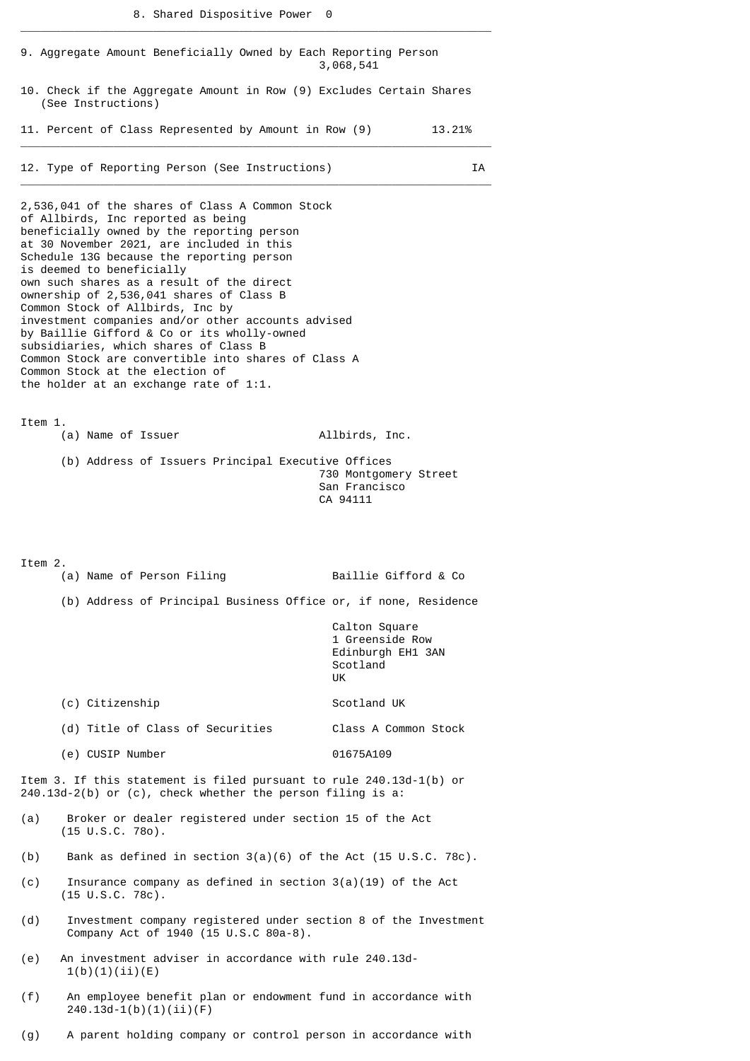\_\_\_\_\_\_\_\_\_\_\_\_\_\_\_\_\_\_\_\_\_\_\_\_\_\_\_\_\_\_\_\_\_\_\_\_\_\_\_\_\_\_\_\_\_\_\_\_\_\_\_\_\_\_\_\_\_\_\_\_\_\_\_\_\_\_\_\_\_\_\_

|         | 9. Aggregate Amount Beneficially Owned by Each Reporting Person                                                                                                                                                                                                                                                                                                                                                                                                                                                                                                                                                                                                           | 3,068,541                                                               |
|---------|---------------------------------------------------------------------------------------------------------------------------------------------------------------------------------------------------------------------------------------------------------------------------------------------------------------------------------------------------------------------------------------------------------------------------------------------------------------------------------------------------------------------------------------------------------------------------------------------------------------------------------------------------------------------------|-------------------------------------------------------------------------|
|         | 10. Check if the Aggregate Amount in Row (9) Excludes Certain Shares<br>(See Instructions)                                                                                                                                                                                                                                                                                                                                                                                                                                                                                                                                                                                |                                                                         |
|         | 11. Percent of Class Represented by Amount in Row (9) 13.21%                                                                                                                                                                                                                                                                                                                                                                                                                                                                                                                                                                                                              |                                                                         |
|         | 12. Type of Reporting Person (See Instructions)                                                                                                                                                                                                                                                                                                                                                                                                                                                                                                                                                                                                                           | IA                                                                      |
|         | 2,536,041 of the shares of Class A Common Stock<br>of Allbirds, Inc reported as being<br>beneficially owned by the reporting person<br>at 30 November 2021, are included in this<br>Schedule 13G because the reporting person<br>is deemed to beneficially<br>own such shares as a result of the direct<br>ownership of 2,536,041 shares of Class B<br>Common Stock of Allbirds, Inc by<br>investment companies and/or other accounts advised<br>by Baillie Gifford & Co or its wholly-owned<br>subsidiaries, which shares of Class B<br>Common Stock are convertible into shares of Class A<br>Common Stock at the election of<br>the holder at an exchange rate of 1:1. |                                                                         |
| Item 1. | (a) Name of Issuer                                                                                                                                                                                                                                                                                                                                                                                                                                                                                                                                                                                                                                                        | Allbirds, Inc.                                                          |
|         | (b) Address of Issuers Principal Executive Offices                                                                                                                                                                                                                                                                                                                                                                                                                                                                                                                                                                                                                        | 730 Montgomery Street<br>San Francisco<br>CA 94111                      |
| Item 2. | (a) Name of Person Filing                                                                                                                                                                                                                                                                                                                                                                                                                                                                                                                                                                                                                                                 | Baillie Gifford & Co                                                    |
|         | (b) Address of Principal Business Office or, if none, Residence                                                                                                                                                                                                                                                                                                                                                                                                                                                                                                                                                                                                           |                                                                         |
|         |                                                                                                                                                                                                                                                                                                                                                                                                                                                                                                                                                                                                                                                                           | Calton Square<br>1 Greenside Row<br>Edinburgh EH1 3AN<br>Scotland<br>UK |
|         | (c) Citizenship                                                                                                                                                                                                                                                                                                                                                                                                                                                                                                                                                                                                                                                           | Scotland UK                                                             |
|         | (d) Title of Class of Securities                                                                                                                                                                                                                                                                                                                                                                                                                                                                                                                                                                                                                                          | Class A Common Stock                                                    |
|         | (e) CUSIP Number                                                                                                                                                                                                                                                                                                                                                                                                                                                                                                                                                                                                                                                          | 01675A109                                                               |
|         | Item 3. If this statement is filed pursuant to rule 240.13d-1(b) or<br>240.13d-2(b) or (c), check whether the person filing is a:                                                                                                                                                                                                                                                                                                                                                                                                                                                                                                                                         |                                                                         |
| (a)     | Broker or dealer registered under section 15 of the Act<br>$(15 \cup S.C. 780)$ .                                                                                                                                                                                                                                                                                                                                                                                                                                                                                                                                                                                         |                                                                         |
| (b)     | Bank as defined in section $3(a)(6)$ of the Act (15 U.S.C. 78c).                                                                                                                                                                                                                                                                                                                                                                                                                                                                                                                                                                                                          |                                                                         |
| (c)     | Insurance company as defined in section $3(a)(19)$ of the Act<br>$(15 \text{ U.S.C. } 78c)$ .                                                                                                                                                                                                                                                                                                                                                                                                                                                                                                                                                                             |                                                                         |
| (d)     | Investment company registered under section 8 of the Investment<br>Company Act of 1940 (15 U.S.C 80a-8).                                                                                                                                                                                                                                                                                                                                                                                                                                                                                                                                                                  |                                                                         |
| (e)     | An investment adviser in accordance with rule 240.13d-<br>1(b)(1)(ii)(E)                                                                                                                                                                                                                                                                                                                                                                                                                                                                                                                                                                                                  |                                                                         |
| (f)     | An employee benefit plan or endowment fund in accordance with<br>$240.13d-1(b)(1)(ii)(F)$                                                                                                                                                                                                                                                                                                                                                                                                                                                                                                                                                                                 |                                                                         |

(g) A parent holding company or control person in accordance with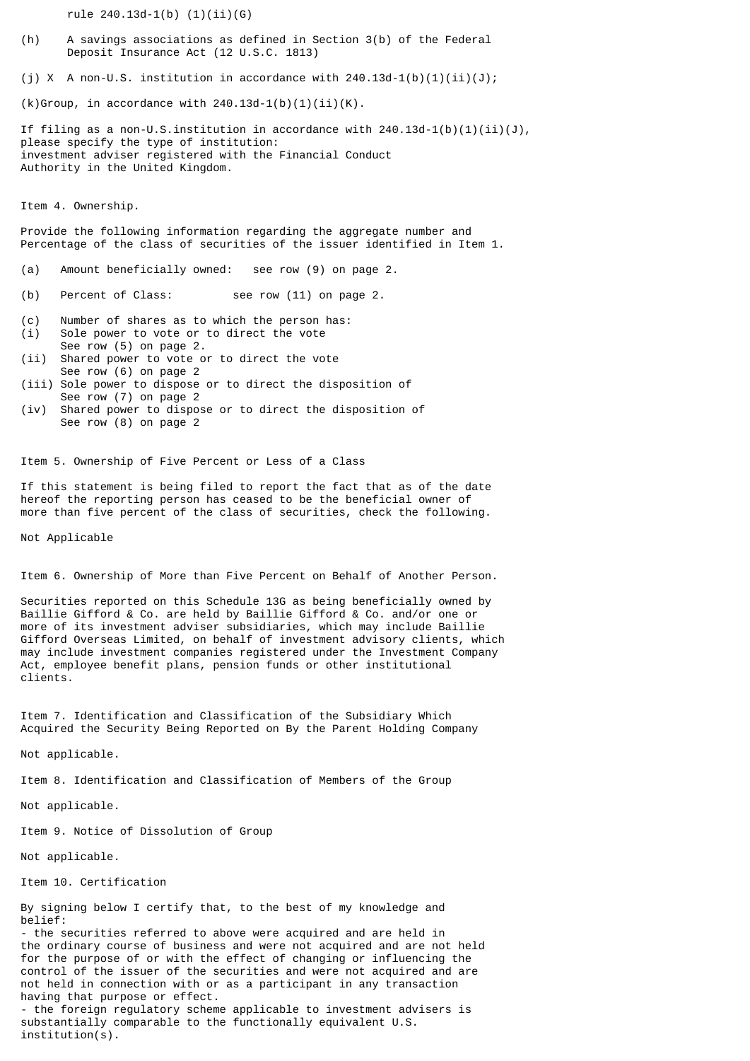rule 240.13d-1(b) (1)(ii)(G)

- (h) A savings associations as defined in Section 3(b) of the Federal Deposit Insurance Act (12 U.S.C. 1813)
- (i) X A non-U.S. institution in accordance with  $240.13d-1(b)(1)(ii)(J);$

 $(k)$ Group, in accordance with 240.13d-1(b)(1)(ii)(K).

If filing as a non-U.S.institution in accordance with  $240.13d-1(b)(1)(ii)(J)$ , please specify the type of institution: investment adviser registered with the Financial Conduct Authority in the United Kingdom.

Item 4. Ownership.

Provide the following information regarding the aggregate number and Percentage of the class of securities of the issuer identified in Item 1.

- (a) Amount beneficially owned: see row (9) on page 2.
- (b) Percent of Class: see row (11) on page 2.
- (c) Number of shares as to which the person has:
- (i) Sole power to vote or to direct the vote See row (5) on page 2.
- (ii) Shared power to vote or to direct the vote See row (6) on page 2
- (iii) Sole power to dispose or to direct the disposition of See row (7) on page 2
- (iv) Shared power to dispose or to direct the disposition of See row (8) on page 2

Item 5. Ownership of Five Percent or Less of a Class

If this statement is being filed to report the fact that as of the date hereof the reporting person has ceased to be the beneficial owner of more than five percent of the class of securities, check the following.

Not Applicable

Item 6. Ownership of More than Five Percent on Behalf of Another Person.

Securities reported on this Schedule 13G as being beneficially owned by Baillie Gifford & Co. are held by Baillie Gifford & Co. and/or one or more of its investment adviser subsidiaries, which may include Baillie Gifford Overseas Limited, on behalf of investment advisory clients, which may include investment companies registered under the Investment Company Act, employee benefit plans, pension funds or other institutional clients.

Item 7. Identification and Classification of the Subsidiary Which Acquired the Security Being Reported on By the Parent Holding Company

Not applicable.

Item 8. Identification and Classification of Members of the Group

Not applicable.

Item 9. Notice of Dissolution of Group

Not applicable.

Item 10. Certification

By signing below I certify that, to the best of my knowledge and belief:

- the securities referred to above were acquired and are held in the ordinary course of business and were not acquired and are not held for the purpose of or with the effect of changing or influencing the control of the issuer of the securities and were not acquired and are not held in connection with or as a participant in any transaction having that purpose or effect. - the foreign regulatory scheme applicable to investment advisers is substantially comparable to the functionally equivalent U.S. institution(s).